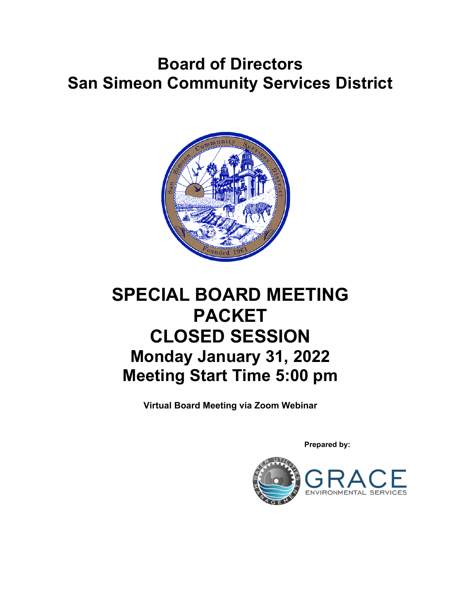# **Board of Directors San Simeon Community Services District**



# **SPECIAL BOARD MEETING PACKET CLOSED SESSION Monday January 31, 2022 Meeting Start Time 5:00 pm**

**Virtual Board Meeting via Zoom Webinar**

 **Prepared by:**

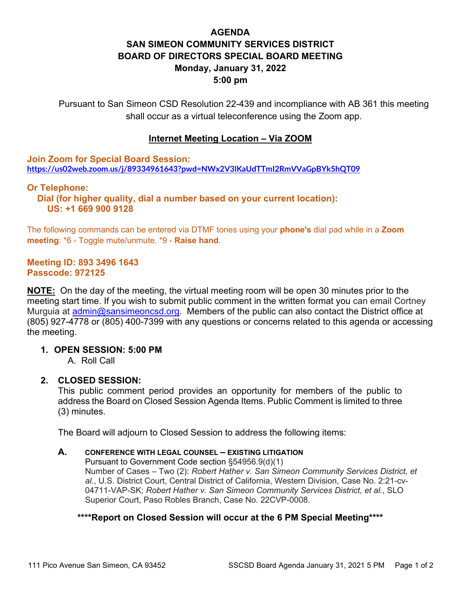# **AGENDA SAN SIMEON COMMUNITY SERVICES DISTRICT BOARD OF DIRECTORS SPECIAL BOARD MEETING Monday, January 31, 2022 5:00 pm**

Pursuant to San Simeon CSD Resolution 22-439 and incompliance with AB 361 this meeting shall occur as a virtual teleconference using the Zoom app.

#### **Internet Meeting Location – Via ZOOM**

**Join Zoom for Special Board Session: <https://us02web.zoom.us/j/89334961643?pwd=NWx2V3lKaUdTTmI2RmVVaGpBYk5hQT09>**

**Or Telephone: Dial (for higher quality, dial a number based on your current location): US: +1 669 900 9128** 

The following commands can be entered via DTMF tones using your **phone's** dial pad while in a **Zoom meeting**: \*6 - Toggle mute/unmute. \*9 - **Raise hand**.

#### **Meeting ID: 893 3496 1643 Passcode: 972125**

**NOTE:** On the day of the meeting, the virtual meeting room will be open 30 minutes prior to the meeting start time. If you wish to submit public comment in the written format you can email Cortney Murguia at [admin@sansimeoncsd.org.](mailto:admin@sansimeoncsd.org) Members of the public can also contact the District office at (805) 927-4778 or (805) 400-7399 with any questions or concerns related to this agenda or accessing the meeting.

#### **1. OPEN SESSION: 5:00 PM**

A. Roll Call

#### **2. CLOSED SESSION:**

This public comment period provides an opportunity for members of the public to address the Board on Closed Session Agenda Items. Public Comment is limited to three (3) minutes.

The Board will adjourn to Closed Session to address the following items:

#### **A. CONFERENCE WITH LEGAL COUNSEL – EXISTING LITIGATION**

Pursuant to Government Code section §54956.9(d)(1) Number of Cases – Two (2): *Robert Hather v. San Simeon Community Services District, et al.*, U.S. District Court, Central District of California, Western Division, Case No. 2:21-cv-04711-VAP-SK; *Robert Hather v. San Simeon Community Services District, et al.*, SLO Superior Court, Paso Robles Branch, Case No. 22CVP-0008.

#### **\*\*\*\*Report on Closed Session will occur at the 6 PM Special Meeting\*\*\*\***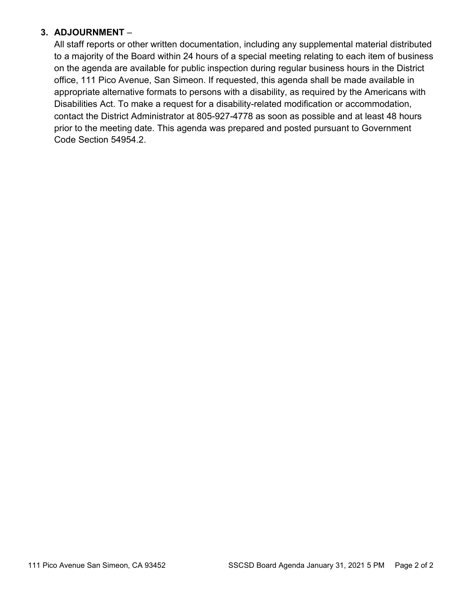# **3. ADJOURNMENT** –

All staff reports or other written documentation, including any supplemental material distributed to a majority of the Board within 24 hours of a special meeting relating to each item of business on the agenda are available for public inspection during regular business hours in the District office, 111 Pico Avenue, San Simeon. If requested, this agenda shall be made available in appropriate alternative formats to persons with a disability, as required by the Americans with Disabilities Act. To make a request for a disability-related modification or accommodation, contact the District Administrator at 805-927-4778 as soon as possible and at least 48 hours prior to the meeting date. This agenda was prepared and posted pursuant to Government Code Section 54954.2.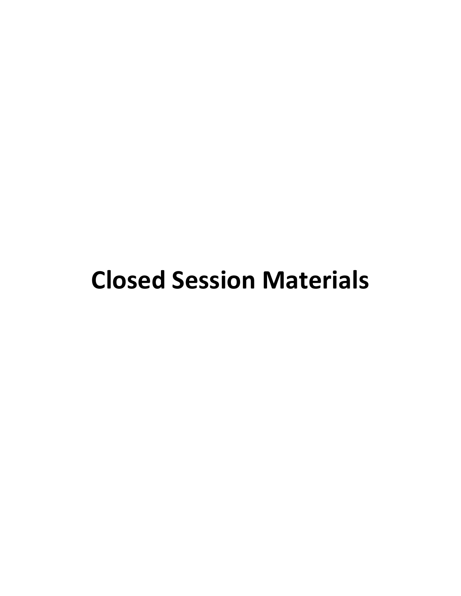# **Closed Session Materials**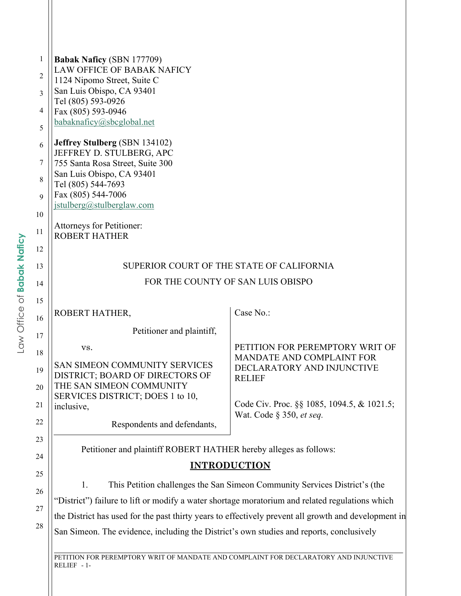| <b>Babak Naficy (SBN 177709)</b>                                                                     |                                                                                  |
|------------------------------------------------------------------------------------------------------|----------------------------------------------------------------------------------|
| <b>LAW OFFICE OF BABAK NAFICY</b>                                                                    |                                                                                  |
| 1124 Nipomo Street, Suite C                                                                          |                                                                                  |
| San Luis Obispo, CA 93401                                                                            |                                                                                  |
| Tel (805) 593-0926<br>Fax (805) 593-0946                                                             |                                                                                  |
| babaknaficy@sbcglobal.net                                                                            |                                                                                  |
|                                                                                                      |                                                                                  |
| <b>Jeffrey Stulberg (SBN 134102)</b>                                                                 |                                                                                  |
| JEFFREY D. STULBERG, APC                                                                             |                                                                                  |
| 755 Santa Rosa Street, Suite 300                                                                     |                                                                                  |
| San Luis Obispo, CA 93401<br>Tel (805) 544-7693                                                      |                                                                                  |
| Fax (805) 544-7006                                                                                   |                                                                                  |
| jstulberg@stulberglaw.com                                                                            |                                                                                  |
|                                                                                                      |                                                                                  |
| Attorneys for Petitioner:                                                                            |                                                                                  |
| <b>ROBERT HATHER</b>                                                                                 |                                                                                  |
|                                                                                                      |                                                                                  |
| SUPERIOR COURT OF THE STATE OF CALIFORNIA                                                            |                                                                                  |
| FOR THE COUNTY OF SAN LUIS OBISPO                                                                    |                                                                                  |
|                                                                                                      |                                                                                  |
|                                                                                                      |                                                                                  |
| ROBERT HATHER,                                                                                       | Case No.:                                                                        |
| Petitioner and plaintiff,                                                                            |                                                                                  |
|                                                                                                      |                                                                                  |
| VS.                                                                                                  | PETITION FOR PEREMPTORY WRIT OF                                                  |
| SAN SIMEON COMMUNITY SERVICES                                                                        | MANDATE AND COMPLAINT FOR<br>DECLARATORY AND INJUNCTIVE                          |
| DISTRICT; BOARD OF DIRECTORS OF                                                                      | <b>RELIEF</b>                                                                    |
| THE SAN SIMEON COMMUNITY                                                                             |                                                                                  |
| SERVICES DISTRICT; DOES 1 to 10,                                                                     |                                                                                  |
| inclusive,                                                                                           | Code Civ. Proc. §§ 1085, 1094.5, & 1021.5;<br>Wat. Code $\S$ 350, <i>et seq.</i> |
| Respondents and defendants,                                                                          |                                                                                  |
|                                                                                                      |                                                                                  |
| Petitioner and plaintiff ROBERT HATHER hereby alleges as follows:                                    |                                                                                  |
|                                                                                                      |                                                                                  |
| <b>INTRODUCTION</b>                                                                                  |                                                                                  |
| 1.                                                                                                   | This Petition challenges the San Simeon Community Services District's (the       |
| "District") failure to lift or modify a water shortage moratorium and related regulations which      |                                                                                  |
|                                                                                                      |                                                                                  |
| the District has used for the past thirty years to effectively prevent all growth and development in |                                                                                  |
| San Simeon. The evidence, including the District's own studies and reports, conclusively             |                                                                                  |
|                                                                                                      |                                                                                  |
| PETITION FOR PEREMPTORY WRIT OF MANDATE AND COMPLAINT FOR DECLARATORY AND INJUNCTIVE                 |                                                                                  |
| RELIEF - 1-                                                                                          |                                                                                  |

 $\mathsf{I}$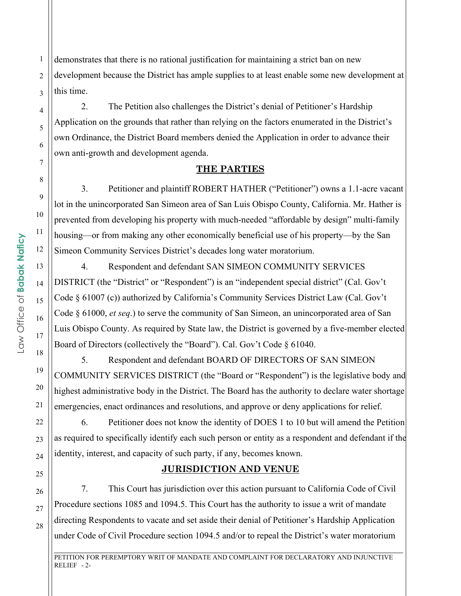demonstrates that there is no rational justification for maintaining a strict ban on new development because the District has ample supplies to at least enable some new development at this time.

2. The Petition also challenges the District's denial of Petitioner's Hardship Application on the grounds that rather than relying on the factors enumerated in the District's own Ordinance, the District Board members denied the Application in order to advance their own anti-growth and development agenda.

#### **THE PARTIES**

3. Petitioner and plaintiff ROBERT HATHER ("Petitioner") owns a 1.1-acre vacant lot in the unincorporated San Simeon area of San Luis Obispo County, California. Mr. Hather is prevented from developing his property with much-needed "affordable by design" multi-family housing—or from making any other economically beneficial use of his property—by the San Simeon Community Services District's decades long water moratorium.

4. Respondent and defendant SAN SIMEON COMMUNITY SERVICES DISTRICT (the "District" or "Respondent") is an "independent special district" (Cal. Gov't Code § 61007 (c)) authorized by California's Community Services District Law (Cal. Gov't Code § 61000, *et seq*.) to serve the community of San Simeon, an unincorporated area of San Luis Obispo County. As required by State law, the District is governed by a five-member elected Board of Directors (collectively the "Board"). Cal. Gov't Code § 61040.

5. Respondent and defendant BOARD OF DIRECTORS OF SAN SIMEON COMMUNITY SERVICES DISTRICT (the "Board or "Respondent") is the legislative body and highest administrative body in the District. The Board has the authority to declare water shortage emergencies, enact ordinances and resolutions, and approve or deny applications for relief.

6. Petitioner does not know the identity of DOES 1 to 10 but will amend the Petition as required to specifically identify each such person or entity as a respondent and defendant if the identity, interest, and capacity of such party, if any, becomes known.

#### **JURISDICTION AND VENUE**

7. This Court has jurisdiction over this action pursuant to California Code of Civil Procedure sections 1085 and 1094.5. This Court has the authority to issue a writ of mandate directing Respondents to vacate and set aside their denial of Petitioner's Hardship Application under Code of Civil Procedure section 1094.5 and/or to repeal the District's water moratorium

\_\_\_\_\_\_\_\_\_\_\_\_\_\_\_\_\_\_\_\_\_\_\_\_\_\_\_\_\_\_\_\_\_\_\_\_\_\_\_\_\_\_\_\_\_\_\_\_\_\_\_\_\_\_\_\_\_\_\_\_\_\_\_\_\_\_\_\_\_\_\_\_\_\_\_\_\_\_\_\_\_\_\_\_\_\_\_\_\_\_\_\_\_\_\_\_\_\_\_\_\_\_\_ PETITION FOR PEREMPTORY WRIT OF MANDATE AND COMPLAINT FOR DECLARATORY AND INJUNCTIVE RELIEF  $-2$ -

1

2

3

4

5

6

7

8

9

10

11

12

13

14

15

16

17

18

19

20

21

22

23

24

25

26

27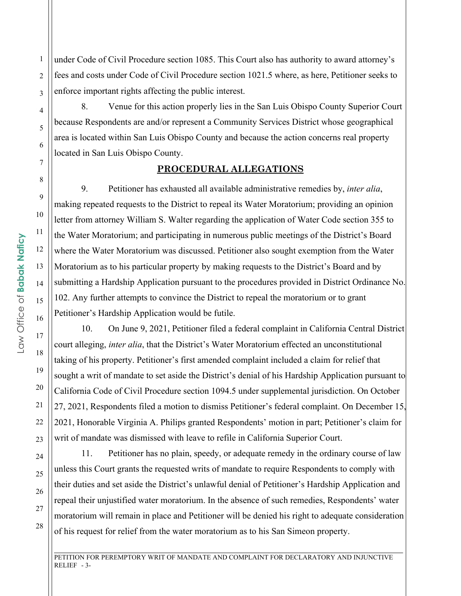under Code of Civil Procedure section 1085. This Court also has authority to award attorney's fees and costs under Code of Civil Procedure section 1021.5 where, as here, Petitioner seeks to enforce important rights affecting the public interest.

8. Venue for this action properly lies in the San Luis Obispo County Superior Court because Respondents are and/or represent a Community Services District whose geographical area is located within San Luis Obispo County and because the action concerns real property located in San Luis Obispo County.

#### **PROCEDURAL ALLEGATIONS**

9. Petitioner has exhausted all available administrative remedies by, *inter alia*, making repeated requests to the District to repeal its Water Moratorium; providing an opinion letter from attorney William S. Walter regarding the application of Water Code section 355 to the Water Moratorium; and participating in numerous public meetings of the District's Board where the Water Moratorium was discussed. Petitioner also sought exemption from the Water Moratorium as to his particular property by making requests to the District's Board and by submitting a Hardship Application pursuant to the procedures provided in District Ordinance No. 102. Any further attempts to convince the District to repeal the moratorium or to grant Petitioner's Hardship Application would be futile.

10. On June 9, 2021, Petitioner filed a federal complaint in California Central District court alleging, *inter alia*, that the District's Water Moratorium effected an unconstitutional taking of his property. Petitioner's first amended complaint included a claim for relief that sought a writ of mandate to set aside the District's denial of his Hardship Application pursuant to California Code of Civil Procedure section 1094.5 under supplemental jurisdiction. On October 27, 2021, Respondents filed a motion to dismiss Petitioner's federal complaint. On December 15, 2021, Honorable Virginia A. Philips granted Respondents' motion in part; Petitioner's claim for writ of mandate was dismissed with leave to refile in California Superior Court.

11. Petitioner has no plain, speedy, or adequate remedy in the ordinary course of law unless this Court grants the requested writs of mandate to require Respondents to comply with their duties and set aside the District's unlawful denial of Petitioner's Hardship Application and repeal their unjustified water moratorium. In the absence of such remedies, Respondents' water moratorium will remain in place and Petitioner will be denied his right to adequate consideration of his request for relief from the water moratorium as to his San Simeon property.

PETITION FOR PEREMPTORY WRIT OF MANDATE AND COMPLAINT FOR DECLARATORY AND INJUNCTIVE RELIEF - 3-

\_\_\_\_\_\_\_\_\_\_\_\_\_\_\_\_\_\_\_\_\_\_\_\_\_\_\_\_\_\_\_\_\_\_\_\_\_\_\_\_\_\_\_\_\_\_\_\_\_\_\_\_\_\_\_\_\_\_\_\_\_\_\_\_\_\_\_\_\_\_\_\_\_\_\_\_\_\_\_\_\_\_\_\_\_\_\_\_\_\_\_\_\_\_\_\_\_\_\_\_\_\_\_

1

2

3

4

5

6

7

8

9

10

11

12

13

14

15

16

17

18

19

20

21

22

23

24

25

26

27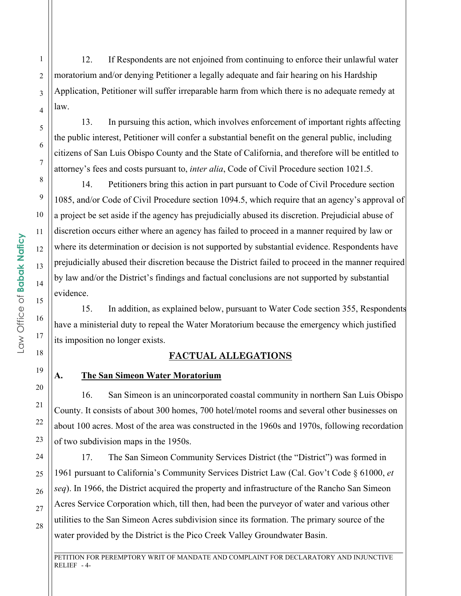12. If Respondents are not enjoined from continuing to enforce their unlawful water moratorium and/or denying Petitioner a legally adequate and fair hearing on his Hardship Application, Petitioner will suffer irreparable harm from which there is no adequate remedy at law.

13. In pursuing this action, which involves enforcement of important rights affecting the public interest, Petitioner will confer a substantial benefit on the general public, including citizens of San Luis Obispo County and the State of California, and therefore will be entitled to attorney's fees and costs pursuant to, *inter alia*, Code of Civil Procedure section 1021.5.

14. Petitioners bring this action in part pursuant to Code of Civil Procedure section 1085, and/or Code of Civil Procedure section 1094.5, which require that an agency's approval of a project be set aside if the agency has prejudicially abused its discretion. Prejudicial abuse of discretion occurs either where an agency has failed to proceed in a manner required by law or where its determination or decision is not supported by substantial evidence. Respondents have prejudicially abused their discretion because the District failed to proceed in the manner required by law and/or the District's findings and factual conclusions are not supported by substantial evidence.

15. In addition, as explained below, pursuant to Water Code section 355, Respondents have a ministerial duty to repeal the Water Moratorium because the emergency which justified its imposition no longer exists.

#### **FACTUAL ALLEGATIONS**

## **A. The San Simeon Water Moratorium**

16. San Simeon is an unincorporated coastal community in northern San Luis Obispo County. It consists of about 300 homes, 700 hotel/motel rooms and several other businesses on about 100 acres. Most of the area was constructed in the 1960s and 1970s, following recordation of two subdivision maps in the 1950s.

17. The San Simeon Community Services District (the "District") was formed in 1961 pursuant to California's Community Services District Law (Cal. Gov't Code § 61000, *et seq*). In 1966, the District acquired the property and infrastructure of the Rancho San Simeon Acres Service Corporation which, till then, had been the purveyor of water and various other utilities to the San Simeon Acres subdivision since its formation. The primary source of the water provided by the District is the Pico Creek Valley Groundwater Basin.

\_\_\_\_\_\_\_\_\_\_\_\_\_\_\_\_\_\_\_\_\_\_\_\_\_\_\_\_\_\_\_\_\_\_\_\_\_\_\_\_\_\_\_\_\_\_\_\_\_\_\_\_\_\_\_\_\_\_\_\_\_\_\_\_\_\_\_\_\_\_\_\_\_\_\_\_\_\_\_\_\_\_\_\_\_\_\_\_\_\_\_\_\_\_\_\_\_\_\_\_\_\_\_ PETITION FOR PEREMPTORY WRIT OF MANDATE AND COMPLAINT FOR DECLARATORY AND INJUNCTIVE RELIEF - 4-

1

2

3

4

5

6

7

8

9

10

11

12

13

14

15

16

17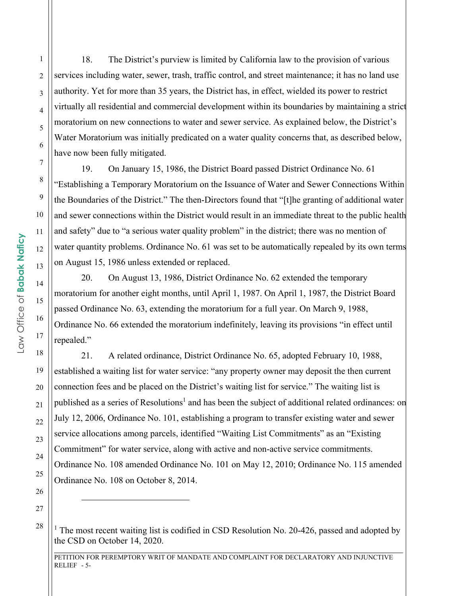18. The District's purview is limited by California law to the provision of various services including water, sewer, trash, traffic control, and street maintenance; it has no land use authority. Yet for more than 35 years, the District has, in effect, wielded its power to restrict virtually all residential and commercial development within its boundaries by maintaining a strict moratorium on new connections to water and sewer service. As explained below, the District's Water Moratorium was initially predicated on a water quality concerns that, as described below, have now been fully mitigated.

19. On January 15, 1986, the District Board passed District Ordinance No. 61 "Establishing a Temporary Moratorium on the Issuance of Water and Sewer Connections Within the Boundaries of the District." The then-Directors found that "[t]he granting of additional water and sewer connections within the District would result in an immediate threat to the public health and safety" due to "a serious water quality problem" in the district; there was no mention of water quantity problems. Ordinance No. 61 was set to be automatically repealed by its own terms on August 15, 1986 unless extended or replaced.

20. On August 13, 1986, District Ordinance No. 62 extended the temporary moratorium for another eight months, until April 1, 1987. On April 1, 1987, the District Board passed Ordinance No. 63, extending the moratorium for a full year. On March 9, 1988, Ordinance No. 66 extended the moratorium indefinitely, leaving its provisions "in effect until repealed."

21. A related ordinance, District Ordinance No. 65, adopted February 10, 1988, established a waiting list for water service: "any property owner may deposit the then current connection fees and be placed on the District's waiting list for service." The waiting list is published as a series of Resolutions<sup>1</sup> and has been the subject of additional related ordinances: on July 12, 2006, Ordinance No. 101, establishing a program to transfer existing water and sewer service allocations among parcels, identified "Waiting List Commitments" as an "Existing Commitment" for water service, along with active and non-active service commitments. Ordinance No. 108 amended Ordinance No. 101 on May 12, 2010; Ordinance No. 115 amended Ordinance No. 108 on October 8, 2014.

\_\_\_\_\_\_\_\_\_\_\_\_\_\_\_\_\_\_\_\_\_\_\_\_\_\_\_\_\_\_\_\_\_\_\_\_\_\_\_\_\_\_\_\_\_\_\_\_\_\_\_\_\_\_\_\_\_\_\_\_\_\_\_\_\_\_\_\_\_\_\_\_\_\_\_\_\_\_\_\_\_\_\_\_\_\_\_\_\_\_\_\_\_\_\_\_\_\_\_\_\_\_\_

1

2

3

4

5

6

7

8

9

10

11

12

13

14

15

16

17

18

19

20

21

22

23

24

25

26

27

<sup>&</sup>lt;sup>1</sup> The most recent waiting list is codified in CSD Resolution No. 20-426, passed and adopted by the CSD on October 14, 2020.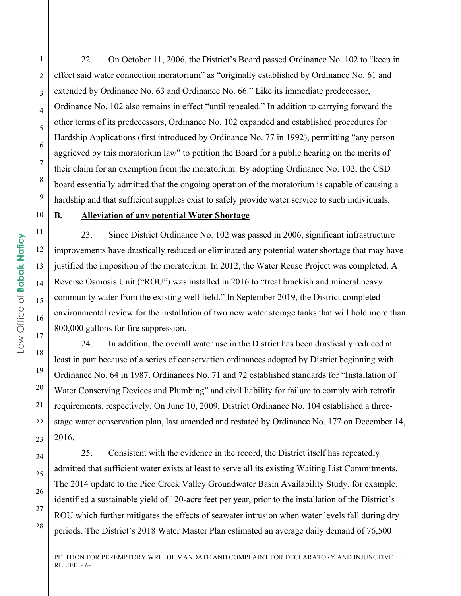22. On October 11, 2006, the District's Board passed Ordinance No. 102 to "keep in effect said water connection moratorium" as "originally established by Ordinance No. 61 and extended by Ordinance No. 63 and Ordinance No. 66." Like its immediate predecessor, Ordinance No. 102 also remains in effect "until repealed." In addition to carrying forward the other terms of its predecessors, Ordinance No. 102 expanded and established procedures for Hardship Applications (first introduced by Ordinance No. 77 in 1992), permitting "any person aggrieved by this moratorium law" to petition the Board for a public hearing on the merits of their claim for an exemption from the moratorium. By adopting Ordinance No. 102, the CSD board essentially admitted that the ongoing operation of the moratorium is capable of causing a hardship and that sufficient supplies exist to safely provide water service to such individuals.

## **B. Alleviation of any potential Water Shortage**

23. Since District Ordinance No. 102 was passed in 2006, significant infrastructure improvements have drastically reduced or eliminated any potential water shortage that may have justified the imposition of the moratorium. In 2012, the Water Reuse Project was completed. A Reverse Osmosis Unit ("ROU") was installed in 2016 to "treat brackish and mineral heavy community water from the existing well field." In September 2019, the District completed environmental review for the installation of two new water storage tanks that will hold more than 800,000 gallons for fire suppression.

24. In addition, the overall water use in the District has been drastically reduced at least in part because of a series of conservation ordinances adopted by District beginning with Ordinance No. 64 in 1987. Ordinances No. 71 and 72 established standards for "Installation of Water Conserving Devices and Plumbing" and civil liability for failure to comply with retrofit requirements, respectively. On June 10, 2009, District Ordinance No. 104 established a threestage water conservation plan, last amended and restated by Ordinance No. 177 on December 14, 2016.

25. Consistent with the evidence in the record, the District itself has repeatedly admitted that sufficient water exists at least to serve all its existing Waiting List Commitments. The 2014 update to the Pico Creek Valley Groundwater Basin Availability Study, for example, identified a sustainable yield of 120-acre feet per year, prior to the installation of the District's ROU which further mitigates the effects of seawater intrusion when water levels fall during dry periods. The District's 2018 Water Master Plan estimated an average daily demand of 76,500

\_\_\_\_\_\_\_\_\_\_\_\_\_\_\_\_\_\_\_\_\_\_\_\_\_\_\_\_\_\_\_\_\_\_\_\_\_\_\_\_\_\_\_\_\_\_\_\_\_\_\_\_\_\_\_\_\_\_\_\_\_\_\_\_\_\_\_\_\_\_\_\_\_\_\_\_\_\_\_\_\_\_\_\_\_\_\_\_\_\_\_\_\_\_\_\_\_\_\_\_\_\_\_ PETITION FOR PEREMPTORY WRIT OF MANDATE AND COMPLAINT FOR DECLARATORY AND INJUNCTIVE RELIEF  $-6$ -

1

2

3

4

5

6

7

8

9

10

11

12

13

14

15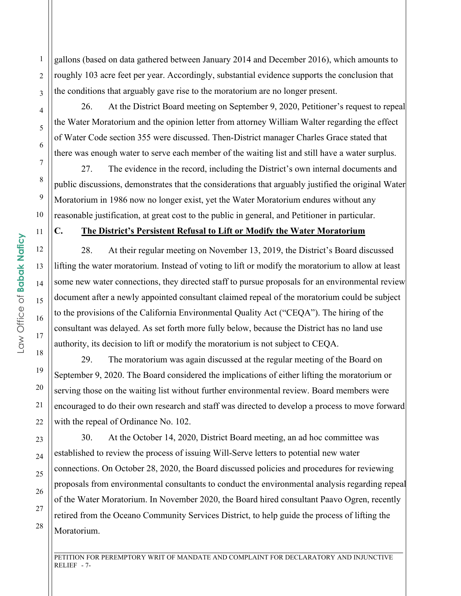gallons (based on data gathered between January 2014 and December 2016), which amounts to roughly 103 acre feet per year. Accordingly, substantial evidence supports the conclusion that the conditions that arguably gave rise to the moratorium are no longer present.

26. At the District Board meeting on September 9, 2020, Petitioner's request to repeal the Water Moratorium and the opinion letter from attorney William Walter regarding the effect of Water Code section 355 were discussed. Then-District manager Charles Grace stated that there was enough water to serve each member of the waiting list and still have a water surplus.

27. The evidence in the record, including the District's own internal documents and public discussions, demonstrates that the considerations that arguably justified the original Water Moratorium in 1986 now no longer exist, yet the Water Moratorium endures without any reasonable justification, at great cost to the public in general, and Petitioner in particular.

#### **C. The District's Persistent Refusal to Lift or Modify the Water Moratorium**

28. At their regular meeting on November 13, 2019, the District's Board discussed lifting the water moratorium. Instead of voting to lift or modify the moratorium to allow at least some new water connections, they directed staff to pursue proposals for an environmental review document after a newly appointed consultant claimed repeal of the moratorium could be subject to the provisions of the California Environmental Quality Act ("CEQA"). The hiring of the consultant was delayed. As set forth more fully below, because the District has no land use authority, its decision to lift or modify the moratorium is not subject to CEQA.

29. The moratorium was again discussed at the regular meeting of the Board on September 9, 2020. The Board considered the implications of either lifting the moratorium or serving those on the waiting list without further environmental review. Board members were encouraged to do their own research and staff was directed to develop a process to move forward with the repeal of Ordinance No. 102.

30. At the October 14, 2020, District Board meeting, an ad hoc committee was established to review the process of issuing Will-Serve letters to potential new water connections. On October 28, 2020, the Board discussed policies and procedures for reviewing proposals from environmental consultants to conduct the environmental analysis regarding repeal of the Water Moratorium. In November 2020, the Board hired consultant Paavo Ogren, recently retired from the Oceano Community Services District, to help guide the process of lifting the Moratorium.

PETITION FOR PEREMPTORY WRIT OF MANDATE AND COMPLAINT FOR DECLARATORY AND INJUNCTIVE RELIEF  $-7$ -

\_\_\_\_\_\_\_\_\_\_\_\_\_\_\_\_\_\_\_\_\_\_\_\_\_\_\_\_\_\_\_\_\_\_\_\_\_\_\_\_\_\_\_\_\_\_\_\_\_\_\_\_\_\_\_\_\_\_\_\_\_\_\_\_\_\_\_\_\_\_\_\_\_\_\_\_\_\_\_\_\_\_\_\_\_\_\_\_\_\_\_\_\_\_\_\_\_\_\_\_\_\_\_

1

2

3

4

5

6

7

8

9

10

11

12

13

14

15

16

17

18

19

20

21

22

23

24

25

26

27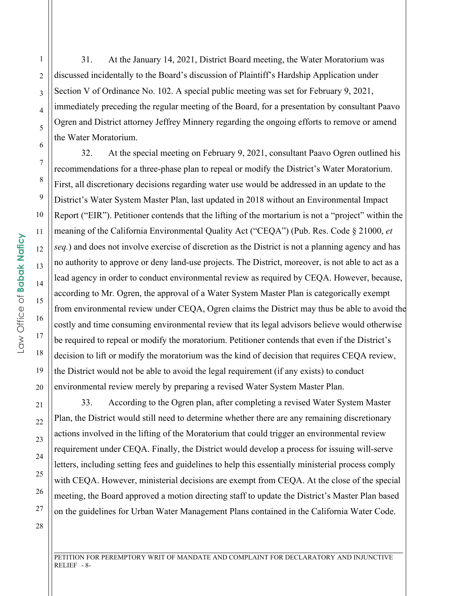31. At the January 14, 2021, District Board meeting, the Water Moratorium was discussed incidentally to the Board's discussion of Plaintiff's Hardship Application under Section V of Ordinance No. 102. A special public meeting was set for February 9, 2021, immediately preceding the regular meeting of the Board, for a presentation by consultant Paavo Ogren and District attorney Jeffrey Minnery regarding the ongoing efforts to remove or amend the Water Moratorium.

32. At the special meeting on February 9, 2021, consultant Paavo Ogren outlined his recommendations for a three-phase plan to repeal or modify the District's Water Moratorium. First, all discretionary decisions regarding water use would be addressed in an update to the District's Water System Master Plan, last updated in 2018 without an Environmental Impact Report ("EIR"). Petitioner contends that the lifting of the mortarium is not a "project" within the meaning of the California Environmental Quality Act ("CEQA") (Pub. Res. Code § 21000, *et seq.*) and does not involve exercise of discretion as the District is not a planning agency and has no authority to approve or deny land-use projects. The District, moreover, is not able to act as a lead agency in order to conduct environmental review as required by CEQA. However, because, according to Mr. Ogren, the approval of a Water System Master Plan is categorically exempt from environmental review under CEQA, Ogren claims the District may thus be able to avoid the costly and time consuming environmental review that its legal advisors believe would otherwise be required to repeal or modify the moratorium. Petitioner contends that even if the District's decision to lift or modify the moratorium was the kind of decision that requires CEQA review, the District would not be able to avoid the legal requirement (if any exists) to conduct environmental review merely by preparing a revised Water System Master Plan.

33. According to the Ogren plan, after completing a revised Water System Master Plan, the District would still need to determine whether there are any remaining discretionary actions involved in the lifting of the Moratorium that could trigger an environmental review requirement under CEQA. Finally, the District would develop a process for issuing will-serve letters, including setting fees and guidelines to help this essentially ministerial process comply with CEQA. However, ministerial decisions are exempt from CEQA. At the close of the special meeting, the Board approved a motion directing staff to update the District's Master Plan based on the guidelines for Urban Water Management Plans contained in the California Water Code.

PETITION FOR PEREMPTORY WRIT OF MANDATE AND COMPLAINT FOR DECLARATORY AND INJUNCTIVE RELIEF - 8-

\_\_\_\_\_\_\_\_\_\_\_\_\_\_\_\_\_\_\_\_\_\_\_\_\_\_\_\_\_\_\_\_\_\_\_\_\_\_\_\_\_\_\_\_\_\_\_\_\_\_\_\_\_\_\_\_\_\_\_\_\_\_\_\_\_\_\_\_\_\_\_\_\_\_\_\_\_\_\_\_\_\_\_\_\_\_\_\_\_\_\_\_\_\_\_\_\_\_\_\_\_\_\_

1

2

3

4

5

6

7

8

9

10

11

12

13

14

15

16

17

18

19

20

21

22

23

24

25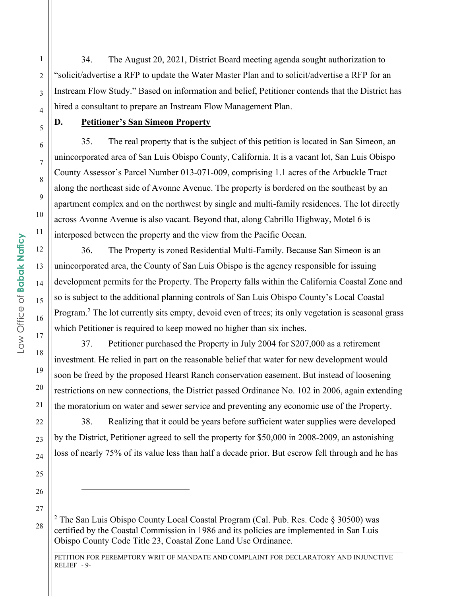34. The August 20, 2021, District Board meeting agenda sought authorization to "solicit/advertise a RFP to update the Water Master Plan and to solicit/advertise a RFP for an Instream Flow Study." Based on information and belief, Petitioner contends that the District has hired a consultant to prepare an Instream Flow Management Plan.

5

1

2

3

4

6

7

8

9

10

11

12

13

14

15

16

17

18

19

20

21

22

23

24

25

26

## **D. Petitioner's San Simeon Property**

35. The real property that is the subject of this petition is located in San Simeon, an unincorporated area of San Luis Obispo County, California. It is a vacant lot, San Luis Obispo County Assessor's Parcel Number 013-071-009, comprising 1.1 acres of the Arbuckle Tract along the northeast side of Avonne Avenue. The property is bordered on the southeast by an apartment complex and on the northwest by single and multi-family residences. The lot directly across Avonne Avenue is also vacant. Beyond that, along Cabrillo Highway, Motel 6 is interposed between the property and the view from the Pacific Ocean.

36. The Property is zoned Residential Multi-Family. Because San Simeon is an unincorporated area, the County of San Luis Obispo is the agency responsible for issuing development permits for the Property. The Property falls within the California Coastal Zone and so is subject to the additional planning controls of San Luis Obispo County's Local Coastal Program.<sup>2</sup> The lot currently sits empty, devoid even of trees; its only vegetation is seasonal grass which Petitioner is required to keep mowed no higher than six inches.

37. Petitioner purchased the Property in July 2004 for \$207,000 as a retirement investment. He relied in part on the reasonable belief that water for new development would soon be freed by the proposed Hearst Ranch conservation easement. But instead of loosening restrictions on new connections, the District passed Ordinance No. 102 in 2006, again extending the moratorium on water and sewer service and preventing any economic use of the Property.

38. Realizing that it could be years before sufficient water supplies were developed by the District, Petitioner agreed to sell the property for \$50,000 in 2008-2009, an astonishing loss of nearly 75% of its value less than half a decade prior. But escrow fell through and he has

<sup>&</sup>lt;sup>2</sup> The San Luis Obispo County Local Coastal Program (Cal. Pub. Res. Code § 30500) was certified by the Coastal Commission in 1986 and its policies are implemented in San Luis Obispo County Code Title 23, Coastal Zone Land Use Ordinance.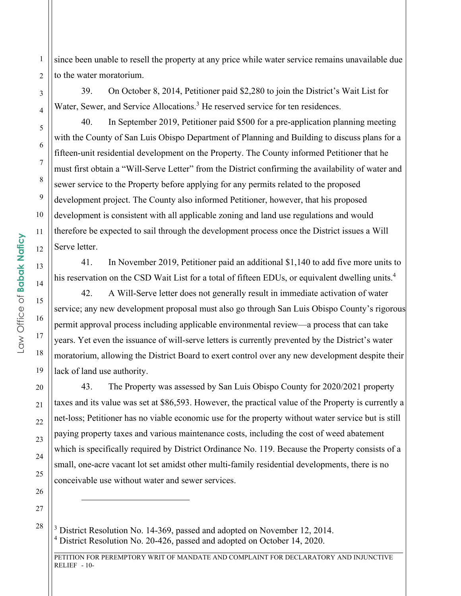since been unable to resell the property at any price while water service remains unavailable due to the water moratorium.

39. On October 8, 2014, Petitioner paid \$2,280 to join the District's Wait List for Water, Sewer, and Service Allocations.<sup>3</sup> He reserved service for ten residences.

40. In September 2019, Petitioner paid \$500 for a pre-application planning meeting with the County of San Luis Obispo Department of Planning and Building to discuss plans for a fifteen-unit residential development on the Property. The County informed Petitioner that he must first obtain a "Will-Serve Letter" from the District confirming the availability of water and sewer service to the Property before applying for any permits related to the proposed development project. The County also informed Petitioner, however, that his proposed development is consistent with all applicable zoning and land use regulations and would therefore be expected to sail through the development process once the District issues a Will Serve letter.

41. In November 2019, Petitioner paid an additional \$1,140 to add five more units to his reservation on the CSD Wait List for a total of fifteen EDUs, or equivalent dwelling units.<sup>4</sup>

42. A Will-Serve letter does not generally result in immediate activation of water service; any new development proposal must also go through San Luis Obispo County's rigorous permit approval process including applicable environmental review—a process that can take years. Yet even the issuance of will-serve letters is currently prevented by the District's water moratorium, allowing the District Board to exert control over any new development despite their lack of land use authority.

43. The Property was assessed by San Luis Obispo County for 2020/2021 property taxes and its value was set at \$86,593. However, the practical value of the Property is currently a net-loss; Petitioner has no viable economic use for the property without water service but is still paying property taxes and various maintenance costs, including the cost of weed abatement which is specifically required by District Ordinance No. 119. Because the Property consists of a small, one-acre vacant lot set amidst other multi-family residential developments, there is no conceivable use without water and sewer services.

<sup>3</sup> District Resolution No. 14-369, passed and adopted on November 12, 2014. <sup>4</sup> District Resolution No. 20-426, passed and adopted on October 14, 2020.

\_\_\_\_\_\_\_\_\_\_\_\_\_\_\_\_\_\_\_\_\_\_\_\_\_\_\_\_\_\_\_\_\_\_\_\_\_\_\_\_\_\_\_\_\_\_\_\_\_\_\_\_\_\_\_\_\_\_\_\_\_\_\_\_\_\_\_\_\_\_\_\_\_\_\_\_\_\_\_\_\_\_\_\_\_\_\_\_\_\_\_\_\_\_\_\_\_\_\_\_\_\_\_

1

2

3

4

5

6

7

8

9

10

11

12

13

14

15

16

17

18

19

20

21

22

23

24

25

26

27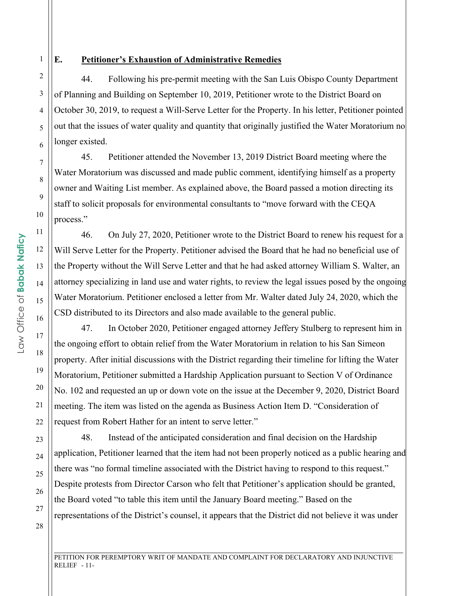1 2

3

4

5

6

7

8

9

10

11

12

#### **E. Petitioner's Exhaustion of Administrative Remedies**

44. Following his pre-permit meeting with the San Luis Obispo County Department of Planning and Building on September 10, 2019, Petitioner wrote to the District Board on October 30, 2019, to request a Will-Serve Letter for the Property. In his letter, Petitioner pointed out that the issues of water quality and quantity that originally justified the Water Moratorium no longer existed.

45. Petitioner attended the November 13, 2019 District Board meeting where the Water Moratorium was discussed and made public comment, identifying himself as a property owner and Waiting List member. As explained above, the Board passed a motion directing its staff to solicit proposals for environmental consultants to "move forward with the CEQA process."

46. On July 27, 2020, Petitioner wrote to the District Board to renew his request for a Will Serve Letter for the Property. Petitioner advised the Board that he had no beneficial use of the Property without the Will Serve Letter and that he had asked attorney William S. Walter, an attorney specializing in land use and water rights, to review the legal issues posed by the ongoing Water Moratorium. Petitioner enclosed a letter from Mr. Walter dated July 24, 2020, which the CSD distributed to its Directors and also made available to the general public.

47. In October 2020, Petitioner engaged attorney Jeffery Stulberg to represent him in the ongoing effort to obtain relief from the Water Moratorium in relation to his San Simeon property. After initial discussions with the District regarding their timeline for lifting the Water Moratorium, Petitioner submitted a Hardship Application pursuant to Section V of Ordinance No. 102 and requested an up or down vote on the issue at the December 9, 2020, District Board meeting. The item was listed on the agenda as Business Action Item D. "Consideration of request from Robert Hather for an intent to serve letter."

48. Instead of the anticipated consideration and final decision on the Hardship application, Petitioner learned that the item had not been properly noticed as a public hearing and there was "no formal timeline associated with the District having to respond to this request." Despite protests from Director Carson who felt that Petitioner's application should be granted, the Board voted "to table this item until the January Board meeting." Based on the representations of the District's counsel, it appears that the District did not believe it was under

Law Office of Babak Naficy Law Office of **Babak Naficy** 13 14 15 16

PETITION FOR PEREMPTORY WRIT OF MANDATE AND COMPLAINT FOR DECLARATORY AND INJUNCTIVE  $RELIEF - 11-$ 

\_\_\_\_\_\_\_\_\_\_\_\_\_\_\_\_\_\_\_\_\_\_\_\_\_\_\_\_\_\_\_\_\_\_\_\_\_\_\_\_\_\_\_\_\_\_\_\_\_\_\_\_\_\_\_\_\_\_\_\_\_\_\_\_\_\_\_\_\_\_\_\_\_\_\_\_\_\_\_\_\_\_\_\_\_\_\_\_\_\_\_\_\_\_\_\_\_\_\_\_\_\_\_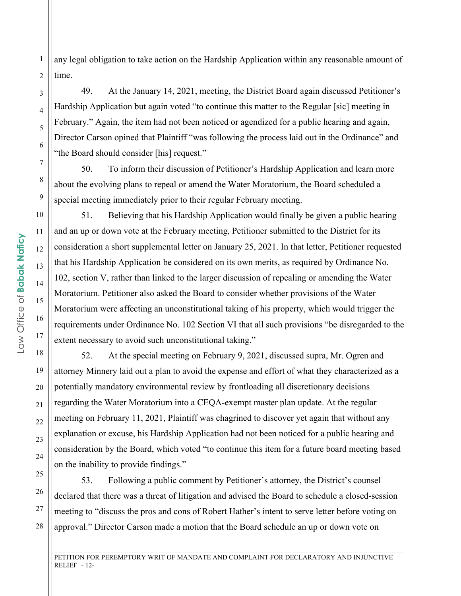any legal obligation to take action on the Hardship Application within any reasonable amount of time.

49. At the January 14, 2021, meeting, the District Board again discussed Petitioner's Hardship Application but again voted "to continue this matter to the Regular [sic] meeting in February." Again, the item had not been noticed or agendized for a public hearing and again, Director Carson opined that Plaintiff "was following the process laid out in the Ordinance" and "the Board should consider [his] request."

50. To inform their discussion of Petitioner's Hardship Application and learn more about the evolving plans to repeal or amend the Water Moratorium, the Board scheduled a special meeting immediately prior to their regular February meeting.

51. Believing that his Hardship Application would finally be given a public hearing and an up or down vote at the February meeting, Petitioner submitted to the District for its consideration a short supplemental letter on January 25, 2021. In that letter, Petitioner requested that his Hardship Application be considered on its own merits, as required by Ordinance No. 102, section V, rather than linked to the larger discussion of repealing or amending the Water Moratorium. Petitioner also asked the Board to consider whether provisions of the Water Moratorium were affecting an unconstitutional taking of his property, which would trigger the requirements under Ordinance No. 102 Section VI that all such provisions "be disregarded to the extent necessary to avoid such unconstitutional taking."

52. At the special meeting on February 9, 2021, discussed supra, Mr. Ogren and attorney Minnery laid out a plan to avoid the expense and effort of what they characterized as a potentially mandatory environmental review by frontloading all discretionary decisions regarding the Water Moratorium into a CEQA-exempt master plan update. At the regular meeting on February 11, 2021, Plaintiff was chagrined to discover yet again that without any explanation or excuse, his Hardship Application had not been noticed for a public hearing and consideration by the Board, which voted "to continue this item for a future board meeting based on the inability to provide findings."

53. Following a public comment by Petitioner's attorney, the District's counsel declared that there was a threat of litigation and advised the Board to schedule a closed-session meeting to "discuss the pros and cons of Robert Hather's intent to serve letter before voting on approval." Director Carson made a motion that the Board schedule an up or down vote on

PETITION FOR PEREMPTORY WRIT OF MANDATE AND COMPLAINT FOR DECLARATORY AND INJUNCTIVE  $RELIEF - 12$ -

\_\_\_\_\_\_\_\_\_\_\_\_\_\_\_\_\_\_\_\_\_\_\_\_\_\_\_\_\_\_\_\_\_\_\_\_\_\_\_\_\_\_\_\_\_\_\_\_\_\_\_\_\_\_\_\_\_\_\_\_\_\_\_\_\_\_\_\_\_\_\_\_\_\_\_\_\_\_\_\_\_\_\_\_\_\_\_\_\_\_\_\_\_\_\_\_\_\_\_\_\_\_\_

1

2

3

4

5

6

7

8

9

10

11

12

13

14

15

16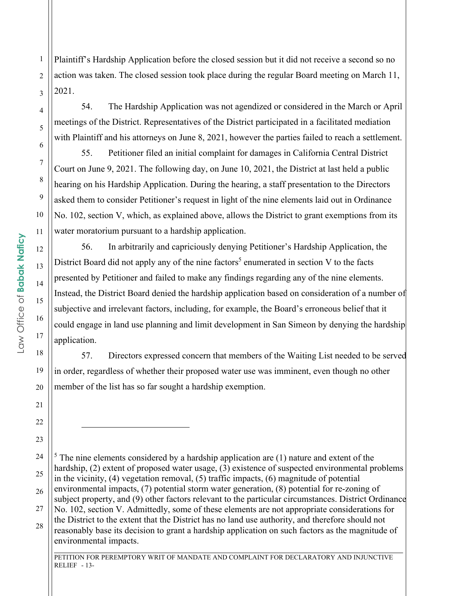Plaintiff's Hardship Application before the closed session but it did not receive a second so no action was taken. The closed session took place during the regular Board meeting on March 11, 2021.

54. The Hardship Application was not agendized or considered in the March or April meetings of the District. Representatives of the District participated in a facilitated mediation with Plaintiff and his attorneys on June 8, 2021, however the parties failed to reach a settlement.

55. Petitioner filed an initial complaint for damages in California Central District Court on June 9, 2021. The following day, on June 10, 2021, the District at last held a public hearing on his Hardship Application. During the hearing, a staff presentation to the Directors asked them to consider Petitioner's request in light of the nine elements laid out in Ordinance No. 102, section V, which, as explained above, allows the District to grant exemptions from its water moratorium pursuant to a hardship application.

56. In arbitrarily and capriciously denying Petitioner's Hardship Application, the District Board did not apply any of the nine factors<sup>5</sup> enumerated in section V to the facts presented by Petitioner and failed to make any findings regarding any of the nine elements. Instead, the District Board denied the hardship application based on consideration of a number of subjective and irrelevant factors, including, for example, the Board's erroneous belief that it could engage in land use planning and limit development in San Simeon by denying the hardship application.

57. Directors expressed concern that members of the Waiting List needed to be served in order, regardless of whether their proposed water use was imminent, even though no other member of the list has so far sought a hardship exemption.

26 27

> \_\_\_\_\_\_\_\_\_\_\_\_\_\_\_\_\_\_\_\_\_\_\_\_\_\_\_\_\_\_\_\_\_\_\_\_\_\_\_\_\_\_\_\_\_\_\_\_\_\_\_\_\_\_\_\_\_\_\_\_\_\_\_\_\_\_\_\_\_\_\_\_\_\_\_\_\_\_\_\_\_\_\_\_\_\_\_\_\_\_\_\_\_\_\_\_\_\_\_\_\_\_\_ PETITION FOR PEREMPTORY WRIT OF MANDATE AND COMPLAINT FOR DECLARATORY AND INJUNCTIVE RELIEF - 13-

1

2

3

4

5

6

7

8

9

10

11

12

13

14

15

16

17

18

19

20

21

22

<sup>24</sup> 25 28  $<sup>5</sup>$  The nine elements considered by a hardship application are (1) nature and extent of the</sup> hardship, (2) extent of proposed water usage, (3) existence of suspected environmental problems in the vicinity, (4) vegetation removal, (5) traffic impacts, (6) magnitude of potential environmental impacts, (7) potential storm water generation, (8) potential for re-zoning of subject property, and (9) other factors relevant to the particular circumstances. District Ordinance No. 102, section V. Admittedly, some of these elements are not appropriate considerations for the District to the extent that the District has no land use authority, and therefore should not reasonably base its decision to grant a hardship application on such factors as the magnitude of environmental impacts.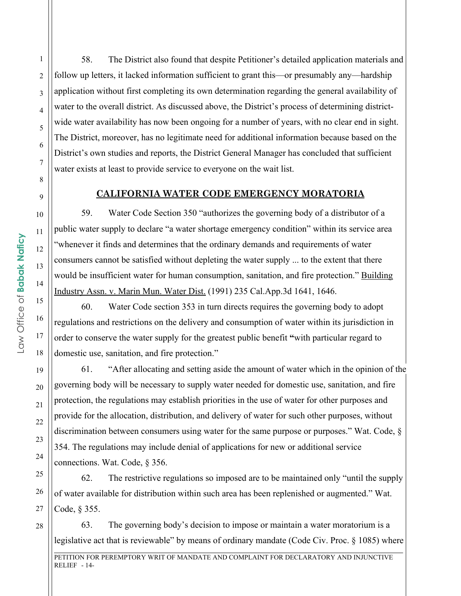58. The District also found that despite Petitioner's detailed application materials and follow up letters, it lacked information sufficient to grant this—or presumably any—hardship application without first completing its own determination regarding the general availability of water to the overall district. As discussed above, the District's process of determining districtwide water availability has now been ongoing for a number of years, with no clear end in sight. The District, moreover, has no legitimate need for additional information because based on the District's own studies and reports, the District General Manager has concluded that sufficient water exists at least to provide service to everyone on the wait list.

#### **CALIFORNIA WATER CODE EMERGENCY MORATORIA**

59. Water Code Section 350 "authorizes the governing body of a distributor of a public water supply to declare "a water shortage emergency condition" within its service area "whenever it finds and determines that the ordinary demands and requirements of water consumers cannot be satisfied without depleting the water supply ... to the extent that there would be insufficient water for human consumption, sanitation, and fire protection." Building Industry Assn. v. Marin Mun. Water Dist. (1991) 235 Cal.App.3d 1641, 1646.

60. Water Code section 353 in turn directs requires the governing body to adopt regulations and restrictions on the delivery and consumption of water within its jurisdiction in order to conserve the water supply for the greatest public benefit **"**with particular regard to domestic use, sanitation, and fire protection."

61. "After allocating and setting aside the amount of water which in the opinion of the governing body will be necessary to supply water needed for domestic use, sanitation, and fire protection, the regulations may establish priorities in the use of water for other purposes and provide for the allocation, distribution, and delivery of water for such other purposes, without discrimination between consumers using water for the same purpose or purposes." Wat. Code, § 354. The regulations may include denial of applications for new or additional service connections. Wat. Code, § 356.

62. The restrictive regulations so imposed are to be maintained only "until the supply of water available for distribution within such area has been replenished or augmented." Wat. Code, § 355.

63. The governing body's decision to impose or maintain a water moratorium is a legislative act that is reviewable" by means of ordinary mandate (Code Civ. Proc. § 1085) where

\_\_\_\_\_\_\_\_\_\_\_\_\_\_\_\_\_\_\_\_\_\_\_\_\_\_\_\_\_\_\_\_\_\_\_\_\_\_\_\_\_\_\_\_\_\_\_\_\_\_\_\_\_\_\_\_\_\_\_\_\_\_\_\_\_\_\_\_\_\_\_\_\_\_\_\_\_\_\_\_\_\_\_\_\_\_\_\_\_\_\_\_\_\_\_\_\_\_\_\_\_\_\_

PETITION FOR PEREMPTORY WRIT OF MANDATE AND COMPLAINT FOR DECLARATORY AND INJUNCTIVE RELIEF - 14-

1

2

3

4

5

6

7

8

9

10

11

12

13

14

15

16

17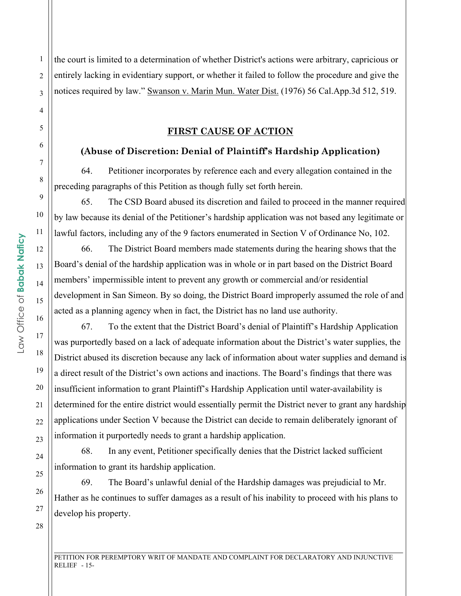the court is limited to a determination of whether District's actions were arbitrary, capricious or entirely lacking in evidentiary support, or whether it failed to follow the procedure and give the notices required by law." Swanson v. Marin Mun. Water Dist. (1976) 56 Cal.App.3d 512, 519.

#### **FIRST CAUSE OF ACTION**

#### **(Abuse of Discretion: Denial of Plaintiff's Hardship Application)**

64. Petitioner incorporates by reference each and every allegation contained in the preceding paragraphs of this Petition as though fully set forth herein.

65. The CSD Board abused its discretion and failed to proceed in the manner required by law because its denial of the Petitioner's hardship application was not based any legitimate or lawful factors, including any of the 9 factors enumerated in Section V of Ordinance No, 102.

66. The District Board members made statements during the hearing shows that the Board's denial of the hardship application was in whole or in part based on the District Board members' impermissible intent to prevent any growth or commercial and/or residential development in San Simeon. By so doing, the District Board improperly assumed the role of and acted as a planning agency when in fact, the District has no land use authority.

67. To the extent that the District Board's denial of Plaintiff's Hardship Application was purportedly based on a lack of adequate information about the District's water supplies, the District abused its discretion because any lack of information about water supplies and demand is a direct result of the District's own actions and inactions. The Board's findings that there was insufficient information to grant Plaintiff's Hardship Application until water-availability is determined for the entire district would essentially permit the District never to grant any hardship applications under Section V because the District can decide to remain deliberately ignorant of information it purportedly needs to grant a hardship application.

68. In any event, Petitioner specifically denies that the District lacked sufficient information to grant its hardship application.

69. The Board's unlawful denial of the Hardship damages was prejudicial to Mr. Hather as he continues to suffer damages as a result of his inability to proceed with his plans to develop his property.

\_\_\_\_\_\_\_\_\_\_\_\_\_\_\_\_\_\_\_\_\_\_\_\_\_\_\_\_\_\_\_\_\_\_\_\_\_\_\_\_\_\_\_\_\_\_\_\_\_\_\_\_\_\_\_\_\_\_\_\_\_\_\_\_\_\_\_\_\_\_\_\_\_\_\_\_\_\_\_\_\_\_\_\_\_\_\_\_\_\_\_\_\_\_\_\_\_\_\_\_\_\_\_ PETITION FOR PEREMPTORY WRIT OF MANDATE AND COMPLAINT FOR DECLARATORY AND INJUNCTIVE  $RELIEF - 15-$ 

1

2

3

4

5

6

7

8

9

10

11

12

13

14

15

16

17

18

19

20

21

22

23

24

25

26

27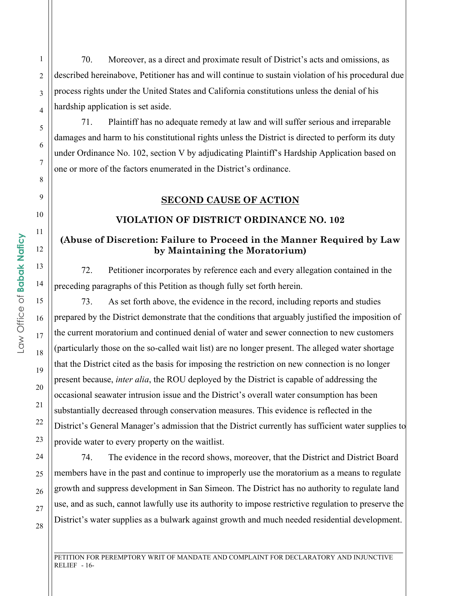70. Moreover, as a direct and proximate result of District's acts and omissions, as described hereinabove, Petitioner has and will continue to sustain violation of his procedural due process rights under the United States and California constitutions unless the denial of his hardship application is set aside.

71. Plaintiff has no adequate remedy at law and will suffer serious and irreparable damages and harm to his constitutional rights unless the District is directed to perform its duty under Ordinance No. 102, section V by adjudicating Plaintiff's Hardship Application based on one or more of the factors enumerated in the District's ordinance.

#### **SECOND CAUSE OF ACTION**

#### **VIOLATION OF DISTRICT ORDINANCE NO. 102**

#### **(Abuse of Discretion: Failure to Proceed in the Manner Required by Law by Maintaining the Moratorium)**

72. Petitioner incorporates by reference each and every allegation contained in the preceding paragraphs of this Petition as though fully set forth herein.

73. As set forth above, the evidence in the record, including reports and studies prepared by the District demonstrate that the conditions that arguably justified the imposition of the current moratorium and continued denial of water and sewer connection to new customers (particularly those on the so-called wait list) are no longer present. The alleged water shortage that the District cited as the basis for imposing the restriction on new connection is no longer present because, *inter alia*, the ROU deployed by the District is capable of addressing the occasional seawater intrusion issue and the District's overall water consumption has been substantially decreased through conservation measures. This evidence is reflected in the District's General Manager's admission that the District currently has sufficient water supplies to provide water to every property on the waitlist.

74. The evidence in the record shows, moreover, that the District and District Board members have in the past and continue to improperly use the moratorium as a means to regulate growth and suppress development in San Simeon. The District has no authority to regulate land use, and as such, cannot lawfully use its authority to impose restrictive regulation to preserve the District's water supplies as a bulwark against growth and much needed residential development.

\_\_\_\_\_\_\_\_\_\_\_\_\_\_\_\_\_\_\_\_\_\_\_\_\_\_\_\_\_\_\_\_\_\_\_\_\_\_\_\_\_\_\_\_\_\_\_\_\_\_\_\_\_\_\_\_\_\_\_\_\_\_\_\_\_\_\_\_\_\_\_\_\_\_\_\_\_\_\_\_\_\_\_\_\_\_\_\_\_\_\_\_\_\_\_\_\_\_\_\_\_\_\_

1

2

3

4

5

6

7

8

9

10

11

12

13

14

15

16

17

18

19

20

21

22

23

24

25

26

27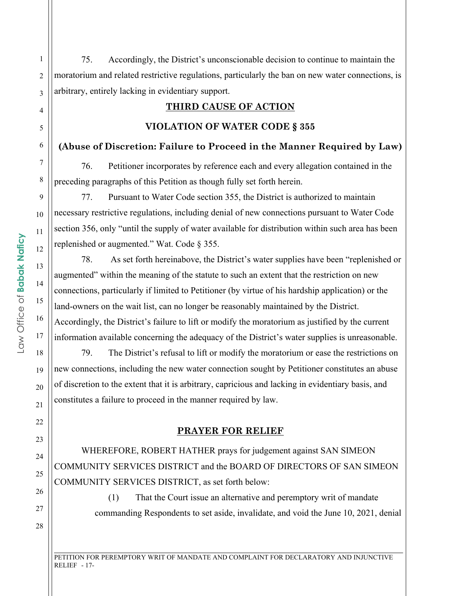75. Accordingly, the District's unconscionable decision to continue to maintain the moratorium and related restrictive regulations, particularly the ban on new water connections, is arbitrary, entirely lacking in evidentiary support.

# **THIRD CAUSE OF ACTION**

# **VIOLATION OF WATER CODE § 355**

# **(Abuse of Discretion: Failure to Proceed in the Manner Required by Law)**

76. Petitioner incorporates by reference each and every allegation contained in the preceding paragraphs of this Petition as though fully set forth herein.

77. Pursuant to Water Code section 355, the District is authorized to maintain necessary restrictive regulations, including denial of new connections pursuant to Water Code section 356, only "until the supply of water available for distribution within such area has been replenished or augmented." Wat. Code § 355.

78. As set forth hereinabove, the District's water supplies have been "replenished or augmented" within the meaning of the statute to such an extent that the restriction on new connections, particularly if limited to Petitioner (by virtue of his hardship application) or the land-owners on the wait list, can no longer be reasonably maintained by the District. Accordingly, the District's failure to lift or modify the moratorium as justified by the current information available concerning the adequacy of the District's water supplies is unreasonable.

79. The District's refusal to lift or modify the moratorium or ease the restrictions on new connections, including the new water connection sought by Petitioner constitutes an abuse of discretion to the extent that it is arbitrary, capricious and lacking in evidentiary basis, and constitutes a failure to proceed in the manner required by law.

# **PRAYER FOR RELIEF**

WHEREFORE, ROBERT HATHER prays for judgement against SAN SIMEON COMMUNITY SERVICES DISTRICT and the BOARD OF DIRECTORS OF SAN SIMEON COMMUNITY SERVICES DISTRICT, as set forth below:

> (1) That the Court issue an alternative and peremptory writ of mandate commanding Respondents to set aside, invalidate, and void the June 10, 2021, denial

1

2

3

4

5

6

7

8

9

10

11

12

13

14

15

16

17

18

19

20

21

22

23

24

25

26

27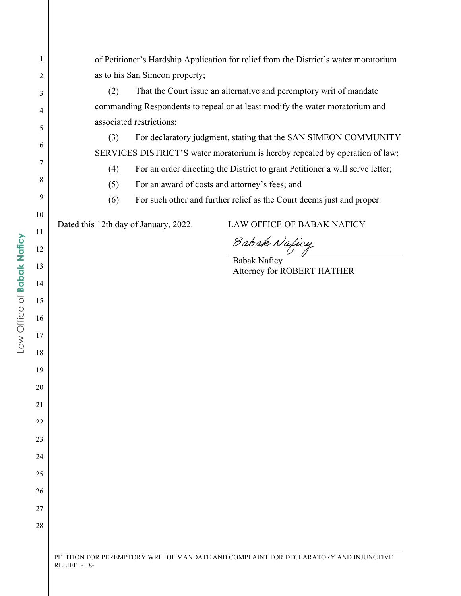| 1  | of Petitioner's Hardship Application for relief from the District's water moratorium   |
|----|----------------------------------------------------------------------------------------|
| 2  | as to his San Simeon property;                                                         |
| 3  | That the Court issue an alternative and peremptory writ of mandate<br>(2)              |
| 4  | commanding Respondents to repeal or at least modify the water moratorium and           |
| 5  | associated restrictions;                                                               |
| 6  | (3)<br>For declaratory judgment, stating that the SAN SIMEON COMMUNITY                 |
| 7  | SERVICES DISTRICT'S water moratorium is hereby repealed by operation of law;           |
|    | For an order directing the District to grant Petitioner a will serve letter;<br>(4)    |
| 8  | For an award of costs and attorney's fees; and<br>(5)                                  |
| 9  | (6)<br>For such other and further relief as the Court deems just and proper.           |
| 10 | Dated this 12th day of January, 2022.<br><b>LAW OFFICE OF BABAK NAFICY</b>             |
| 11 |                                                                                        |
| 12 | Babak Naficy<br>Babak Naficy                                                           |
| 13 | Attorney for ROBERT HATHER                                                             |
| 14 |                                                                                        |
| 15 |                                                                                        |
| 16 |                                                                                        |
| 17 |                                                                                        |
| 18 |                                                                                        |
| 19 |                                                                                        |
| 20 |                                                                                        |
| 21 |                                                                                        |
| 22 |                                                                                        |
| 23 |                                                                                        |
|    |                                                                                        |
| 24 |                                                                                        |
| 25 |                                                                                        |
| 26 |                                                                                        |
| 27 |                                                                                        |
| 28 |                                                                                        |
|    |                                                                                        |
|    | DETITION EOD DEDEMOTODV WDIT OF MANDATE AND COMDI AINT EOD DECLADATODV AND INILINCTIVE |

PETITION FOR PEREMPTORY WRIT OF MANDATE AND COMPLAINT FOR DECLARATORY AND INJUNCTIVE RELIEF - 18-